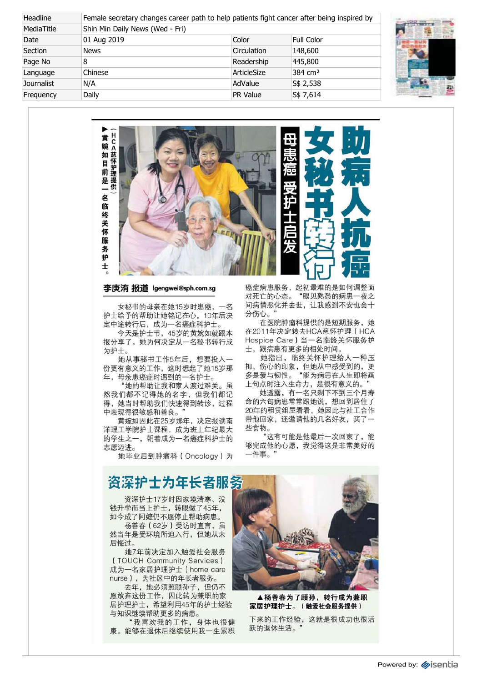| Headline   | Female secretary changes career path to help patients fight cancer after being inspired by |             |                     |  |  |
|------------|--------------------------------------------------------------------------------------------|-------------|---------------------|--|--|
| MediaTitle | Shin Min Daily News (Wed - Fri)                                                            |             |                     |  |  |
| Date       | 01 Aug 2019                                                                                | Color       | Full Color          |  |  |
| Section    | <b>News</b>                                                                                | Circulation | 148,600             |  |  |
| Page No    | 8                                                                                          | Readership  | 445,800             |  |  |
| Language   | Chinese                                                                                    | ArticleSize | 384 cm <sup>2</sup> |  |  |
| Journalist | N/A                                                                                        | AdValue     | S\$ 2,538           |  |  |
| Frequency  | Daily                                                                                      | PR Value    | S\$ 7,614           |  |  |





## 李庚洧 报道 lgengwei@sph.com.sg

 女秘书的母亲在她15岁时患癌,一名 护士给予的帮助让她铭记在心,10年后决 定中途转行后,成为一名癌症科护士。

 今天是护士节,45岁的黄婉如就跟本 报分享了,她为何决定从一名秘书转行成 为护士。

 她从事秘书工作5年后,想要投入一 份更有意义的工作,这时想起了她15岁那 年,母亲患癌症时遇到的一名护士。

 "她的帮助让我和家人渡过难关。虽 然我们都不记得她的名字,但我们都记 得,她当时帮助我们快速得到转诊,过程 中表现得很敏感和善良。"

 黄婉如因此在25岁那年,决定报读南 洋理工学院护士课程,成为班上年纪最大 的学生之一,朝着成为一名癌症科护士的 志愿迈进。

她毕业后到肿瘤科(Oncology)为

癌症病患服务,起初最难的是如何调整面 对死亡的心态。"眼见熟悉的病患一夜之 间病情恶化并去世,让我感到不安也会十 分伤心。"

 在医院肿瘤科提供的是短期服务,她 在2011年决定转去HCA慈怀护理(HCA Hospice Care)当一名临终关怀服务护 士,跟病患有更多的相处时间。

 她指出,临终关怀护理给人一种压 抑、伤心的印象,但她从中感受到的,更 多是爱与韧性。"能为病患在人生即将画 上句点时注入生命力,是很有意义的。

 她透露,有一名只剩下不到三个月寿 命的六旬病患常常跟她说,想回到居住了 20年的租赁组屋看看,她因此与社工合作 带他回家,还邀请他的几名好友,买了一 些食物。

 "这有可能是他最后一次回家了,能 够完成他的心愿,我觉得这是非常美好的 一件事。

## 资深护士为年长者服务

 资深护士17岁时因家境清寒、没 钱升学而当上护士,转眼做了45年, 如今成了阿嬷仍不愿停止帮助病患。

 杨善春(62岁)受访时直言,虽 然当年是受环境所迫入行,但她从未 后悔过。

 她7年前决定加入触爱社会服务 (TOUCH Community Services) 成为一名家居护理护士(home care nurse),为社区中的年长者服务。

 去年,她必须照顾孙子,但仍不 愿放弃这份工作,因此转为兼职的家 居护理护士,希望利用45年的护士经验 与知识继续帮助更多的病患。

 "我喜欢我的工作,身体也很健 康。能够在退休后继续使用我一生累积



 ▲杨善春为了顾孙,转行成为兼职 家居护理护士。(触爱社会服务提供)

下来的工作经验,这就是很成功也很活 跃的退休生活。